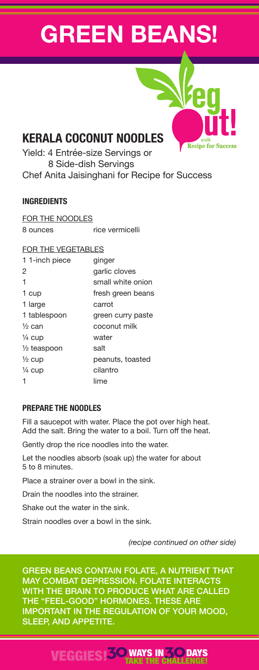# **GREEN BEANS!**



**Recipe for Succes** Yield: 4 Entrée-size Servings or 8 Side-dish Servings Chef Anita Jaisinghani for Recipe for Success

## **INGREDIENTS**

FOR THE NOODLES 8 ounces rice vermicelli

#### FOR THE VEGETABLES

| 11-inch piece          | ginger            |
|------------------------|-------------------|
| 2                      | garlic cloves     |
| 1                      | small white onion |
| 1 cup                  | fresh green beans |
| 1 large                | carrot            |
| 1 tablespoon           | green curry paste |
| ½ can                  | coconut milk      |
| ¼ cup                  | water             |
| $\frac{1}{2}$ teaspoon | salt              |
| $\frac{1}{2}$ cup      | peanuts, toasted  |
| 1/4 cup                | cilantro          |
| 1                      | lime              |

#### **PREPARE THE NOODLES**

Fill a saucepot with water. Place the pot over high heat. Add the salt. Bring the water to a boil. Turn off the heat.

Gently drop the rice noodles into the water.

Let the noodles absorb (soak up) the water for about 5 to 8 minutes.

Place a strainer over a bowl in the sink.

Drain the noodles into the strainer.

Shake out the water in the sink.

Strain noodles over a bowl in the sink.

*(recipe continued on other side)*

**DAYS** 

GREEN BEANS CONTAIN FOLATE, A NUTRIENT THAT MAY COMBAT DEPRESSION. FOLATE INTERACTS WITH THE BRAIN TO PRODUCE WHAT ARE CALLED THE "FEEL-GOOD" HORMONES. THESE ARE IMPORTANT IN THE REGULATION OF YOUR MOOD, SLEEP, AND APPETITE.

VEGGIES!**30**WAYS IN**30** TAKE THE CHALLENGE!